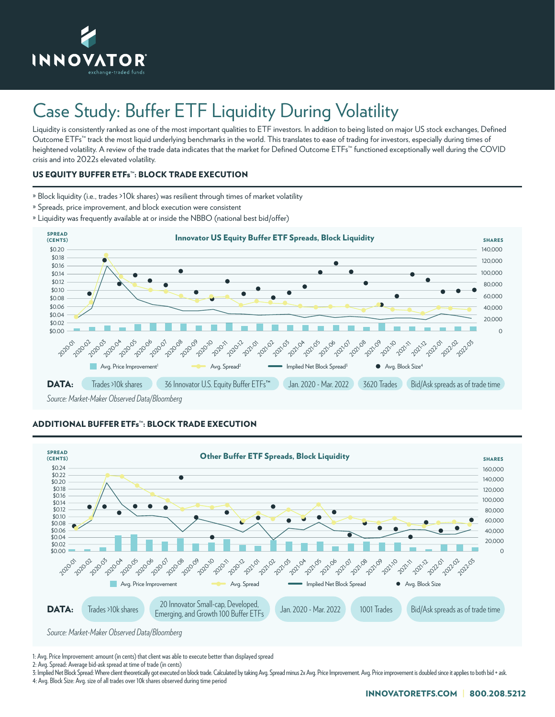

# Case Study: Buffer ETF Liquidity During Volatility

Liquidity is consistently ranked as one of the most important qualities to ETF investors. In addition to being listed on major US stock exchanges, Defined Outcome ETFs™ track the most liquid underlying benchmarks in the world. This translates to ease of trading for investors, especially during times of heightened volatility. A review of the trade data indicates that the market for Defined Outcome ETFs™ functioned exceptionally well during the COVID crisis and into 2022s elevated volatility.

## US EQUITY BUFFER ETFs**™**: BLOCK TRADE EXECUTION

- » Block liquidity (i.e., trades >10k shares) was resilient through times of market volatility
- » Spreads, price improvement, and block execution were consistent
- » Liquidity was frequently available at or inside the NBBO (national best bid/offer)



## ADDITIONAL BUFFER ETFs**™**: BLOCK TRADE EXECUTION



1: Avg. Price Improvement: amount (in cents) that client was able to execute better than displayed spread

2: Avg. Spread: Average bid-ask spread at time of trade (in cents)

3: Implied Net Block Spread: Where client theoretically got executed on block trade. Calculated by taking Avg. Spread minus 2x Avg. Price Improvement. Avg. Price improvement is doubled since it applies to both bid + ask. 4: Avg. Block Size: Avg. size of all trades over 10k shares observed during time period